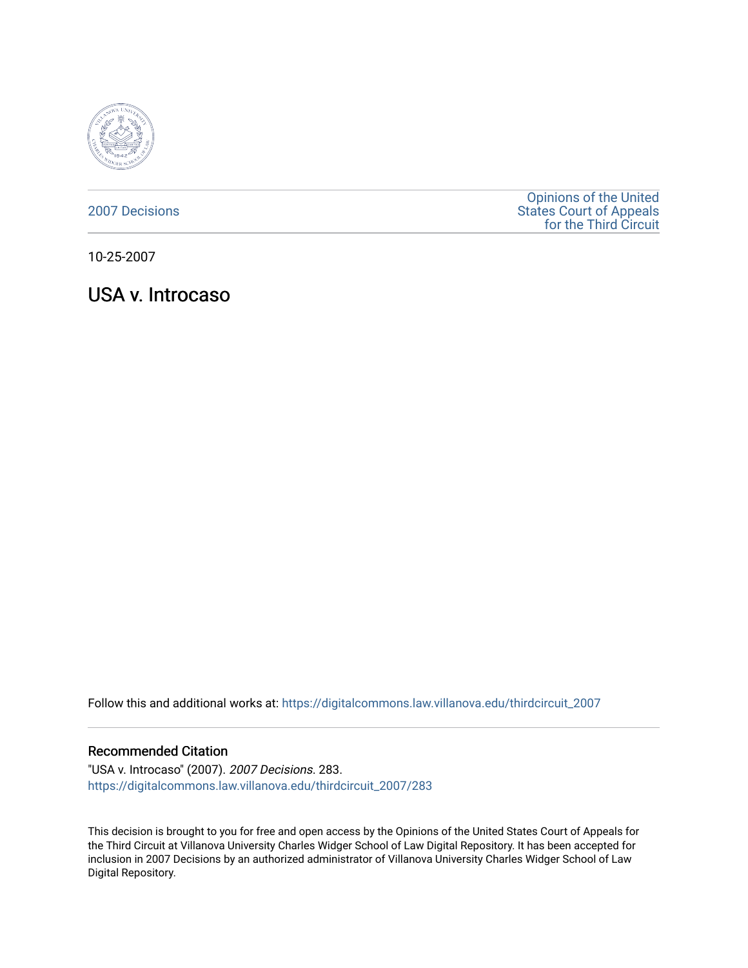

[2007 Decisions](https://digitalcommons.law.villanova.edu/thirdcircuit_2007)

[Opinions of the United](https://digitalcommons.law.villanova.edu/thirdcircuit)  [States Court of Appeals](https://digitalcommons.law.villanova.edu/thirdcircuit)  [for the Third Circuit](https://digitalcommons.law.villanova.edu/thirdcircuit) 

10-25-2007

USA v. Introcaso

Follow this and additional works at: [https://digitalcommons.law.villanova.edu/thirdcircuit\\_2007](https://digitalcommons.law.villanova.edu/thirdcircuit_2007?utm_source=digitalcommons.law.villanova.edu%2Fthirdcircuit_2007%2F283&utm_medium=PDF&utm_campaign=PDFCoverPages) 

#### Recommended Citation

"USA v. Introcaso" (2007). 2007 Decisions. 283. [https://digitalcommons.law.villanova.edu/thirdcircuit\\_2007/283](https://digitalcommons.law.villanova.edu/thirdcircuit_2007/283?utm_source=digitalcommons.law.villanova.edu%2Fthirdcircuit_2007%2F283&utm_medium=PDF&utm_campaign=PDFCoverPages)

This decision is brought to you for free and open access by the Opinions of the United States Court of Appeals for the Third Circuit at Villanova University Charles Widger School of Law Digital Repository. It has been accepted for inclusion in 2007 Decisions by an authorized administrator of Villanova University Charles Widger School of Law Digital Repository.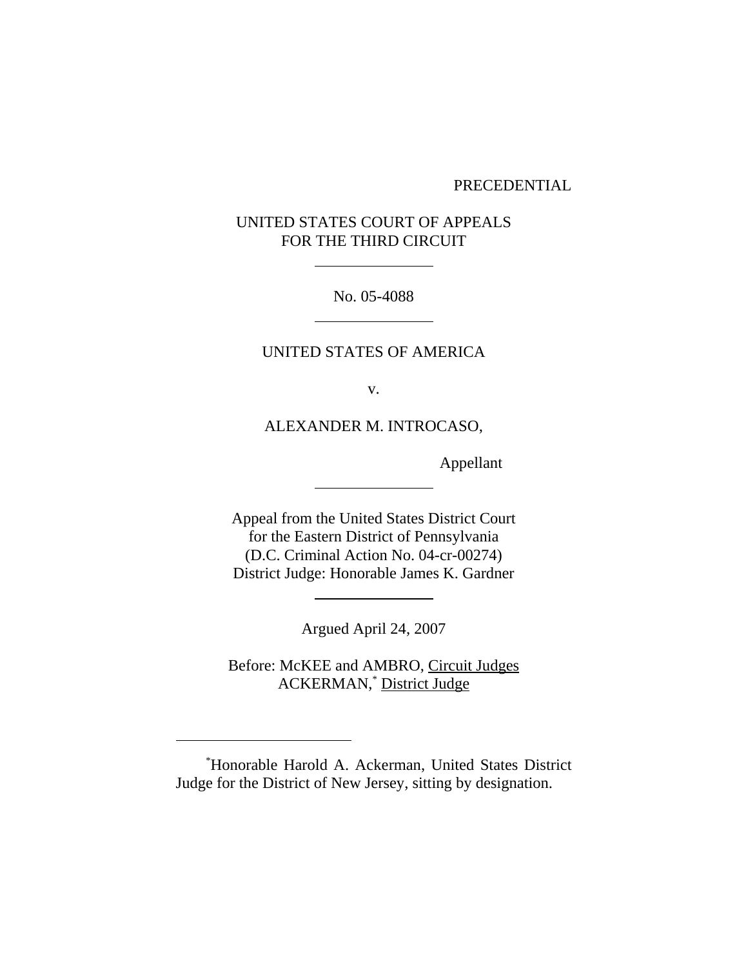#### PRECEDENTIAL

# UNITED STATES COURT OF APPEALS FOR THE THIRD CIRCUIT

 $\overline{a}$ 

 $\overline{a}$ 

 $\overline{a}$ 

 $\overline{a}$ 

No. 05-4088

# UNITED STATES OF AMERICA

v.

ALEXANDER M. INTROCASO,

Appellant

Appeal from the United States District Court for the Eastern District of Pennsylvania (D.C. Criminal Action No. 04-cr-00274) District Judge: Honorable James K. Gardner

Argued April 24, 2007

Before: McKEE and AMBRO, Circuit Judges ACKERMAN,<sup>\*</sup> District Judge

 <sup>\*</sup> Honorable Harold A. Ackerman, United States District Judge for the District of New Jersey, sitting by designation.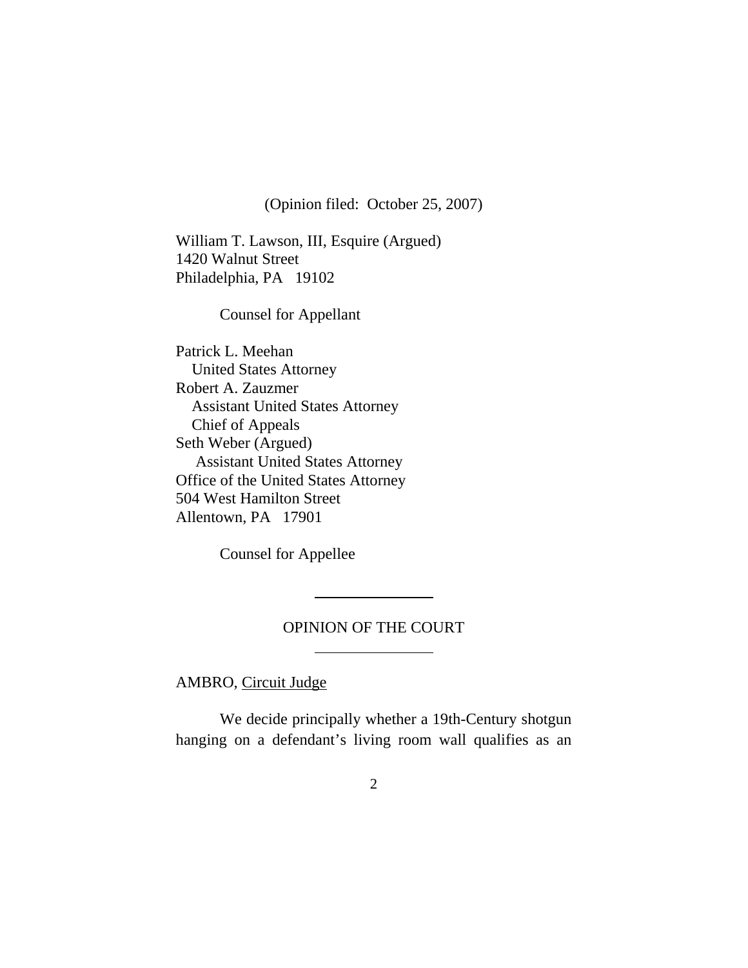(Opinion filed: October 25, 2007)

William T. Lawson, III, Esquire (Argued) 1420 Walnut Street Philadelphia, PA 19102

Counsel for Appellant

Patrick L. Meehan United States Attorney Robert A. Zauzmer Assistant United States Attorney Chief of Appeals Seth Weber (Argued) Assistant United States Attorney Office of the United States Attorney 504 West Hamilton Street Allentown, PA 17901

Counsel for Appellee

 $\overline{a}$ 

 $\overline{a}$ 

## OPINION OF THE COURT

AMBRO, Circuit Judge

We decide principally whether a 19th-Century shotgun hanging on a defendant's living room wall qualifies as an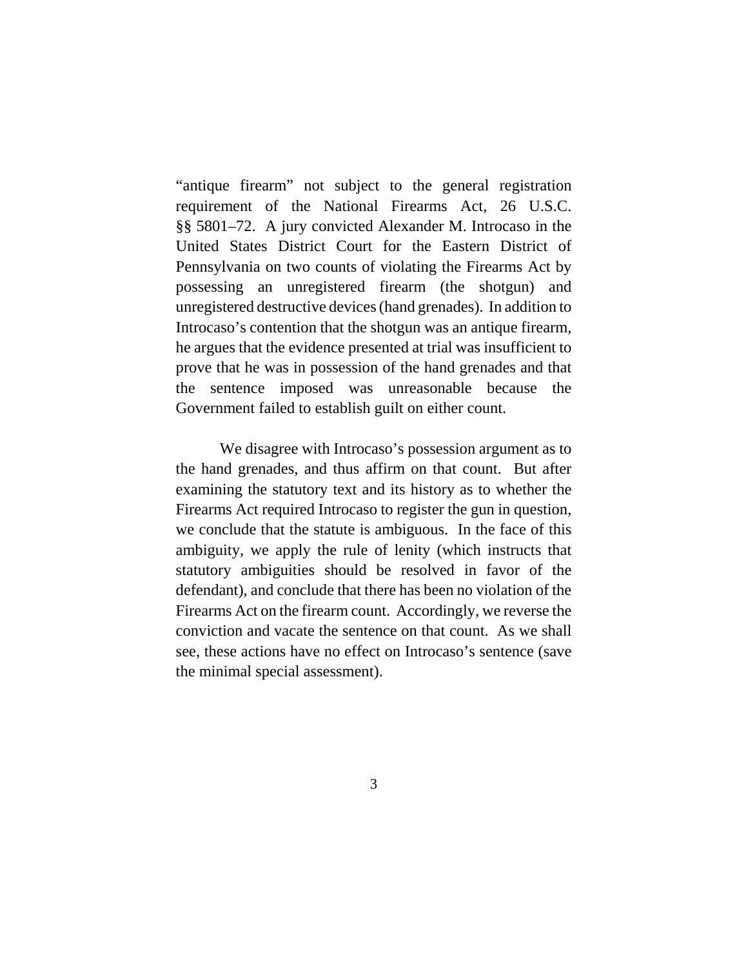"antique firearm" not subject to the general registration requirement of the National Firearms Act, 26 U.S.C. §§ 5801–72. A jury convicted Alexander M. Introcaso in the United States District Court for the Eastern District of Pennsylvania on two counts of violating the Firearms Act by possessing an unregistered firearm (the shotgun) and unregistered destructive devices (hand grenades). In addition to Introcaso's contention that the shotgun was an antique firearm, he argues that the evidence presented at trial was insufficient to prove that he was in possession of the hand grenades and that the sentence imposed was unreasonable because the Government failed to establish guilt on either count.

We disagree with Introcaso's possession argument as to the hand grenades, and thus affirm on that count. But after examining the statutory text and its history as to whether the Firearms Act required Introcaso to register the gun in question, we conclude that the statute is ambiguous. In the face of this ambiguity, we apply the rule of lenity (which instructs that statutory ambiguities should be resolved in favor of the defendant), and conclude that there has been no violation of the Firearms Act on the firearm count. Accordingly, we reverse the conviction and vacate the sentence on that count. As we shall see, these actions have no effect on Introcaso's sentence (save the minimal special assessment).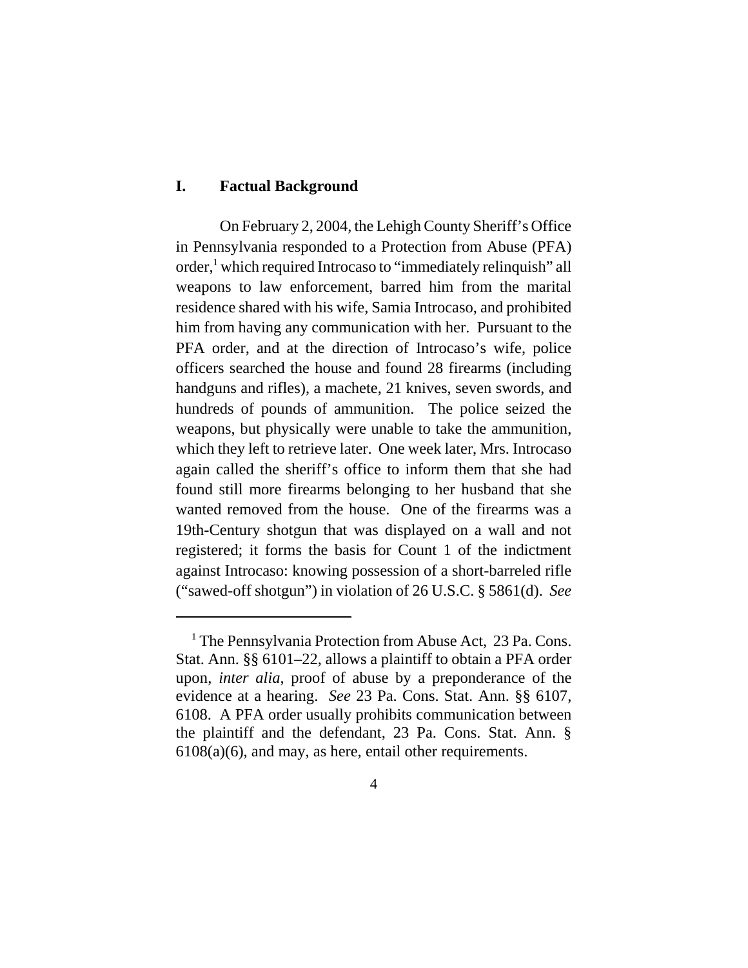# **I. Factual Background**

On February 2, 2004, the Lehigh County Sheriff's Office in Pennsylvania responded to a Protection from Abuse (PFA) order,<sup>1</sup> which required Introcaso to "immediately relinquish" all weapons to law enforcement, barred him from the marital residence shared with his wife, Samia Introcaso, and prohibited him from having any communication with her. Pursuant to the PFA order, and at the direction of Introcaso's wife, police officers searched the house and found 28 firearms (including handguns and rifles), a machete, 21 knives, seven swords, and hundreds of pounds of ammunition. The police seized the weapons, but physically were unable to take the ammunition, which they left to retrieve later. One week later, Mrs. Introcaso again called the sheriff's office to inform them that she had found still more firearms belonging to her husband that she wanted removed from the house. One of the firearms was a 19th-Century shotgun that was displayed on a wall and not registered; it forms the basis for Count 1 of the indictment against Introcaso: knowing possession of a short-barreled rifle ("sawed-off shotgun") in violation of 26 U.S.C. § 5861(d). *See*

<sup>&</sup>lt;sup>1</sup> The Pennsylvania Protection from Abuse Act, 23 Pa. Cons. Stat. Ann. §§ 6101–22, allows a plaintiff to obtain a PFA order upon, *inter alia*, proof of abuse by a preponderance of the evidence at a hearing. *See* 23 Pa. Cons. Stat. Ann. §§ 6107, 6108. A PFA order usually prohibits communication between the plaintiff and the defendant, 23 Pa. Cons. Stat. Ann. § 6108(a)(6), and may, as here, entail other requirements.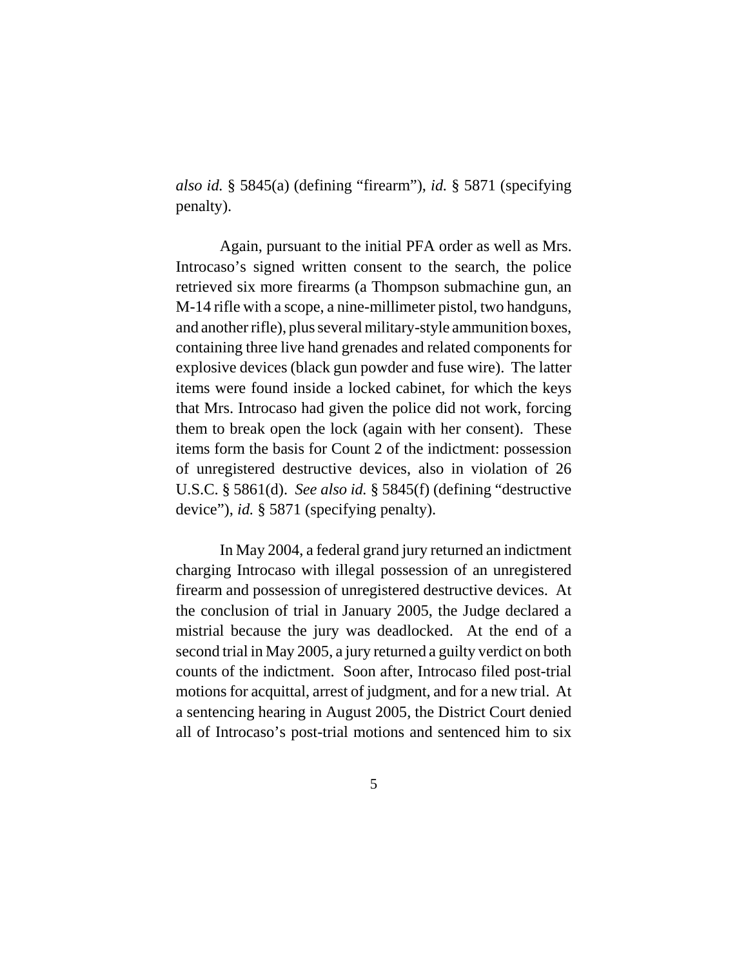*also id.* § 5845(a) (defining "firearm"), *id.* § 5871 (specifying penalty).

Again, pursuant to the initial PFA order as well as Mrs. Introcaso's signed written consent to the search, the police retrieved six more firearms (a Thompson submachine gun, an M-14 rifle with a scope, a nine-millimeter pistol, two handguns, and another rifle), plus several military-style ammunition boxes, containing three live hand grenades and related components for explosive devices (black gun powder and fuse wire). The latter items were found inside a locked cabinet, for which the keys that Mrs. Introcaso had given the police did not work, forcing them to break open the lock (again with her consent). These items form the basis for Count 2 of the indictment: possession of unregistered destructive devices, also in violation of 26 U.S.C. § 5861(d). *See also id.* § 5845(f) (defining "destructive device"), *id.* § 5871 (specifying penalty).

In May 2004, a federal grand jury returned an indictment charging Introcaso with illegal possession of an unregistered firearm and possession of unregistered destructive devices. At the conclusion of trial in January 2005, the Judge declared a mistrial because the jury was deadlocked. At the end of a second trial in May 2005, a jury returned a guilty verdict on both counts of the indictment. Soon after, Introcaso filed post-trial motions for acquittal, arrest of judgment, and for a new trial. At a sentencing hearing in August 2005, the District Court denied all of Introcaso's post-trial motions and sentenced him to six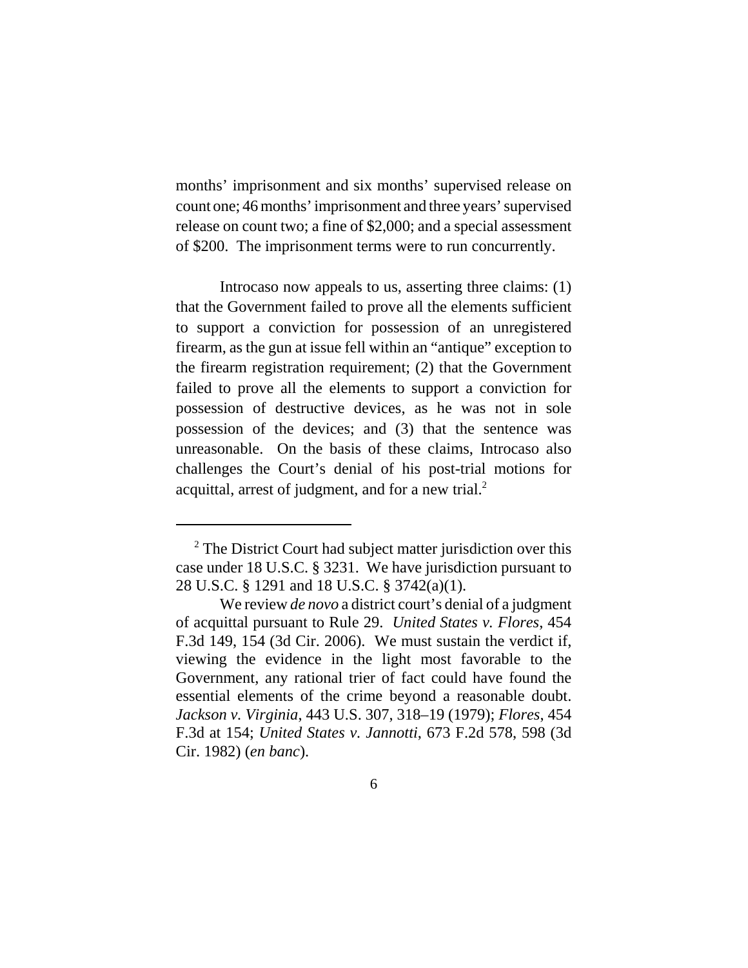months' imprisonment and six months' supervised release on count one; 46 months' imprisonment and three years' supervised release on count two; a fine of \$2,000; and a special assessment of \$200. The imprisonment terms were to run concurrently.

Introcaso now appeals to us, asserting three claims: (1) that the Government failed to prove all the elements sufficient to support a conviction for possession of an unregistered firearm, as the gun at issue fell within an "antique" exception to the firearm registration requirement; (2) that the Government failed to prove all the elements to support a conviction for possession of destructive devices, as he was not in sole possession of the devices; and (3) that the sentence was unreasonable. On the basis of these claims, Introcaso also challenges the Court's denial of his post-trial motions for acquittal, arrest of judgment, and for a new trial. $2$ 

<sup>&</sup>lt;sup>2</sup> The District Court had subject matter jurisdiction over this case under 18 U.S.C. § 3231. We have jurisdiction pursuant to 28 U.S.C. § 1291 and 18 U.S.C. § 3742(a)(1).

We review *de novo* a district court's denial of a judgment of acquittal pursuant to Rule 29. *United States v. Flores*, 454 F.3d 149, 154 (3d Cir. 2006). We must sustain the verdict if, viewing the evidence in the light most favorable to the Government, any rational trier of fact could have found the essential elements of the crime beyond a reasonable doubt. *Jackson v. Virginia*, 443 U.S. 307, 318–19 (1979); *Flores*, 454 F.3d at 154; *United States v. Jannotti*, 673 F.2d 578, 598 (3d Cir. 1982) (*en banc*).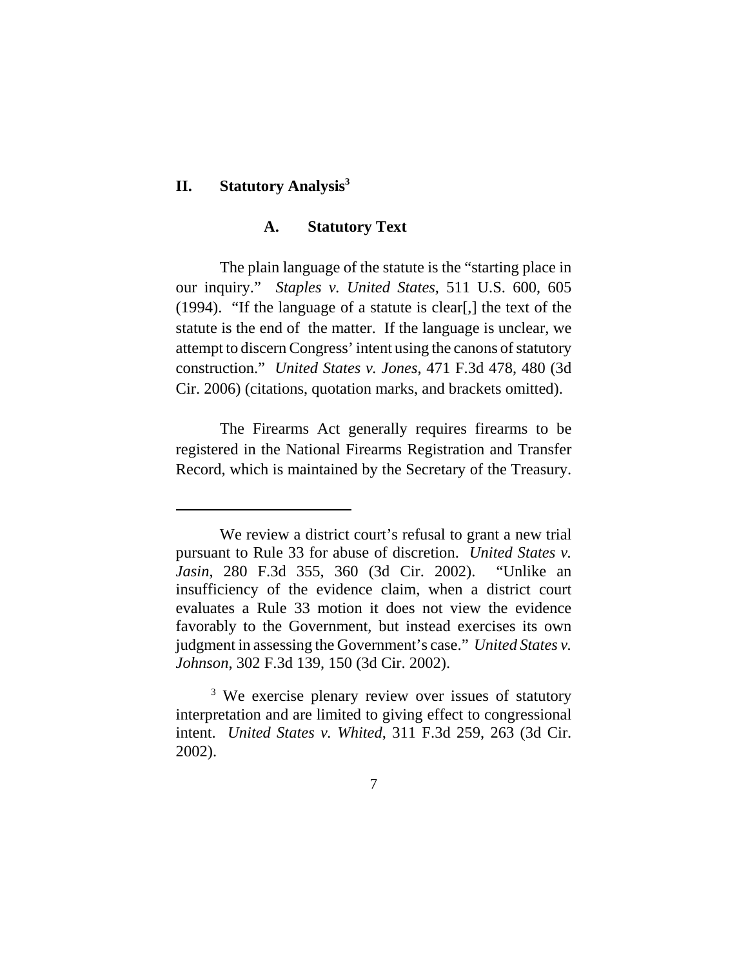## **II. Statutory Analysis3**

## **A. Statutory Text**

The plain language of the statute is the "starting place in our inquiry." *Staples v. United States*, 511 U.S. 600, 605 (1994). "If the language of a statute is clear[,] the text of the statute is the end of the matter. If the language is unclear, we attempt to discern Congress' intent using the canons of statutory construction." *United States v. Jones*, 471 F.3d 478, 480 (3d Cir. 2006) (citations, quotation marks, and brackets omitted).

The Firearms Act generally requires firearms to be registered in the National Firearms Registration and Transfer Record, which is maintained by the Secretary of the Treasury.

We review a district court's refusal to grant a new trial pursuant to Rule 33 for abuse of discretion. *United States v. Jasin*, 280 F.3d 355, 360 (3d Cir. 2002). "Unlike an insufficiency of the evidence claim, when a district court evaluates a Rule 33 motion it does not view the evidence favorably to the Government, but instead exercises its own judgment in assessing the Government's case." *United States v. Johnson*, 302 F.3d 139, 150 (3d Cir. 2002).

<sup>&</sup>lt;sup>3</sup> We exercise plenary review over issues of statutory interpretation and are limited to giving effect to congressional intent. *United States v. Whited*, 311 F.3d 259, 263 (3d Cir. 2002).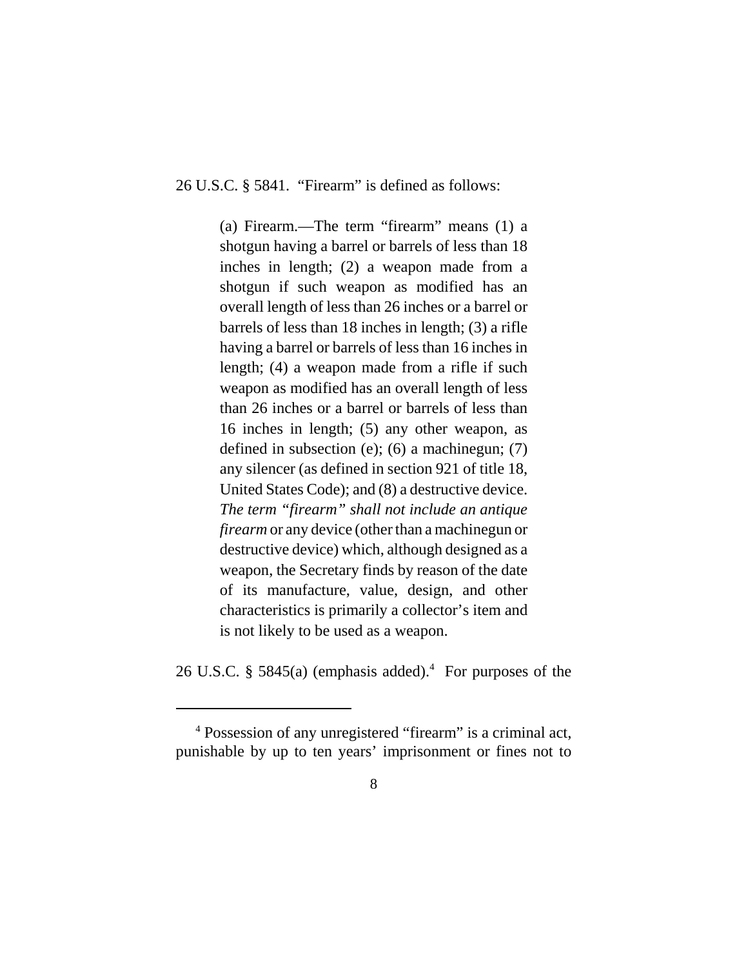26 U.S.C. § 5841. "Firearm" is defined as follows:

(a) Firearm.—The term "firearm" means (1) a shotgun having a barrel or barrels of less than 18 inches in length; (2) a weapon made from a shotgun if such weapon as modified has an overall length of less than 26 inches or a barrel or barrels of less than 18 inches in length; (3) a rifle having a barrel or barrels of less than 16 inches in length; (4) a weapon made from a rifle if such weapon as modified has an overall length of less than 26 inches or a barrel or barrels of less than 16 inches in length; (5) any other weapon, as defined in subsection (e); (6) a machinegun; (7) any silencer (as defined in section 921 of title 18, United States Code); and (8) a destructive device. *The term "firearm" shall not include an antique firearm* or any device (other than a machinegun or destructive device) which, although designed as a weapon, the Secretary finds by reason of the date of its manufacture, value, design, and other characteristics is primarily a collector's item and is not likely to be used as a weapon.

26 U.S.C. § 5845(a) (emphasis added).<sup>4</sup> For purposes of the

 <sup>4</sup> Possession of any unregistered "firearm" is a criminal act, punishable by up to ten years' imprisonment or fines not to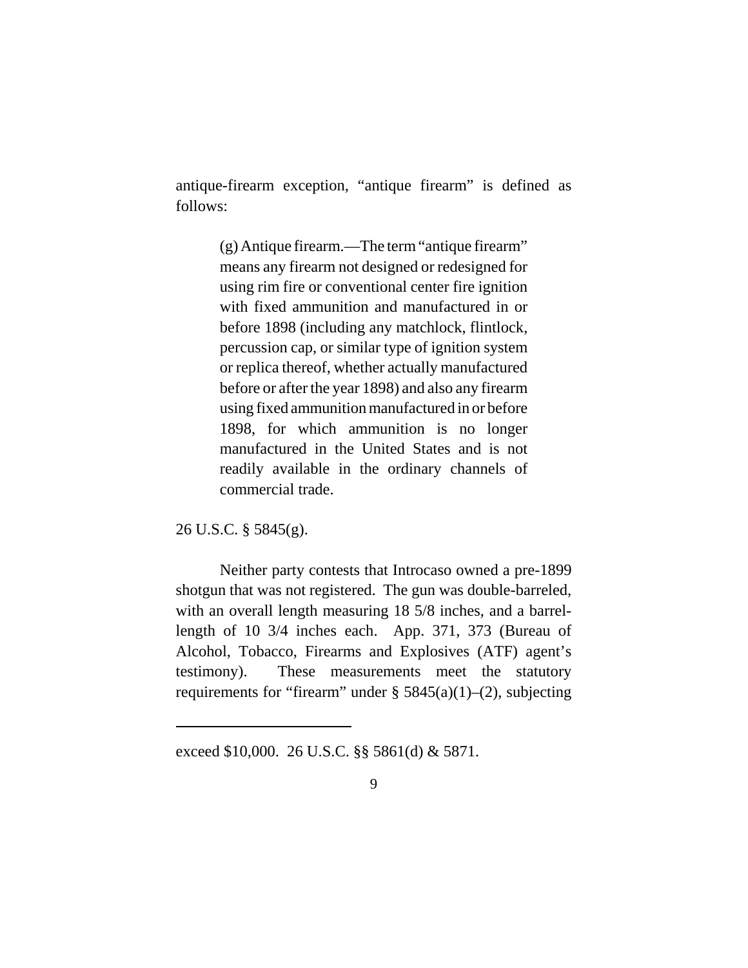antique-firearm exception, "antique firearm" is defined as follows:

> (g) Antique firearm.—The term "antique firearm" means any firearm not designed or redesigned for using rim fire or conventional center fire ignition with fixed ammunition and manufactured in or before 1898 (including any matchlock, flintlock, percussion cap, or similar type of ignition system or replica thereof, whether actually manufactured before or after the year 1898) and also any firearm using fixed ammunition manufactured in or before 1898, for which ammunition is no longer manufactured in the United States and is not readily available in the ordinary channels of commercial trade.

26 U.S.C. § 5845(g).

Neither party contests that Introcaso owned a pre-1899 shotgun that was not registered. The gun was double-barreled, with an overall length measuring 18 5/8 inches, and a barrellength of 10 3/4 inches each. App. 371, 373 (Bureau of Alcohol, Tobacco, Firearms and Explosives (ATF) agent's testimony). These measurements meet the statutory requirements for "firearm" under  $\S$  5845(a)(1)–(2), subjecting

exceed \$10,000. 26 U.S.C. §§ 5861(d) & 5871.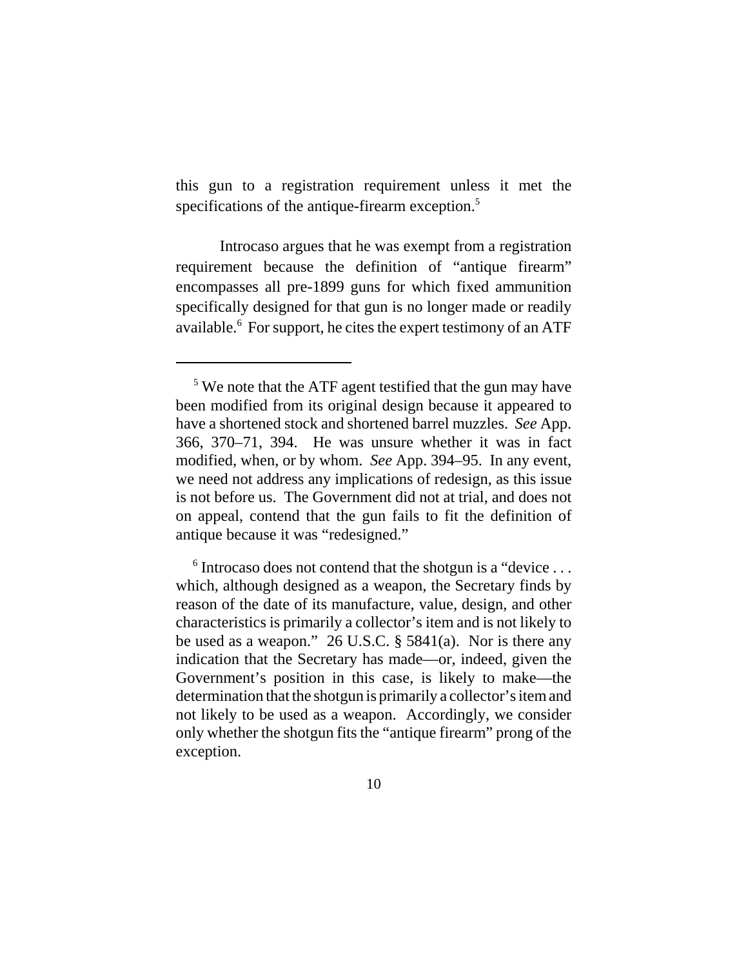this gun to a registration requirement unless it met the specifications of the antique-firearm exception.<sup>5</sup>

Introcaso argues that he was exempt from a registration requirement because the definition of "antique firearm" encompasses all pre-1899 guns for which fixed ammunition specifically designed for that gun is no longer made or readily available.<sup>6</sup> For support, he cites the expert testimony of an ATF

<sup>&</sup>lt;sup>5</sup> We note that the ATF agent testified that the gun may have been modified from its original design because it appeared to have a shortened stock and shortened barrel muzzles. *See* App. 366, 370–71, 394. He was unsure whether it was in fact modified, when, or by whom. *See* App. 394–95. In any event, we need not address any implications of redesign, as this issue is not before us. The Government did not at trial, and does not on appeal, contend that the gun fails to fit the definition of antique because it was "redesigned."

<sup>&</sup>lt;sup>6</sup> Introcaso does not contend that the shotgun is a "device . . . which, although designed as a weapon, the Secretary finds by reason of the date of its manufacture, value, design, and other characteristics is primarily a collector's item and is not likely to be used as a weapon." 26 U.S.C. § 5841(a). Nor is there any indication that the Secretary has made—or, indeed, given the Government's position in this case, is likely to make—the determination that the shotgun is primarily a collector's item and not likely to be used as a weapon. Accordingly, we consider only whether the shotgun fits the "antique firearm" prong of the exception.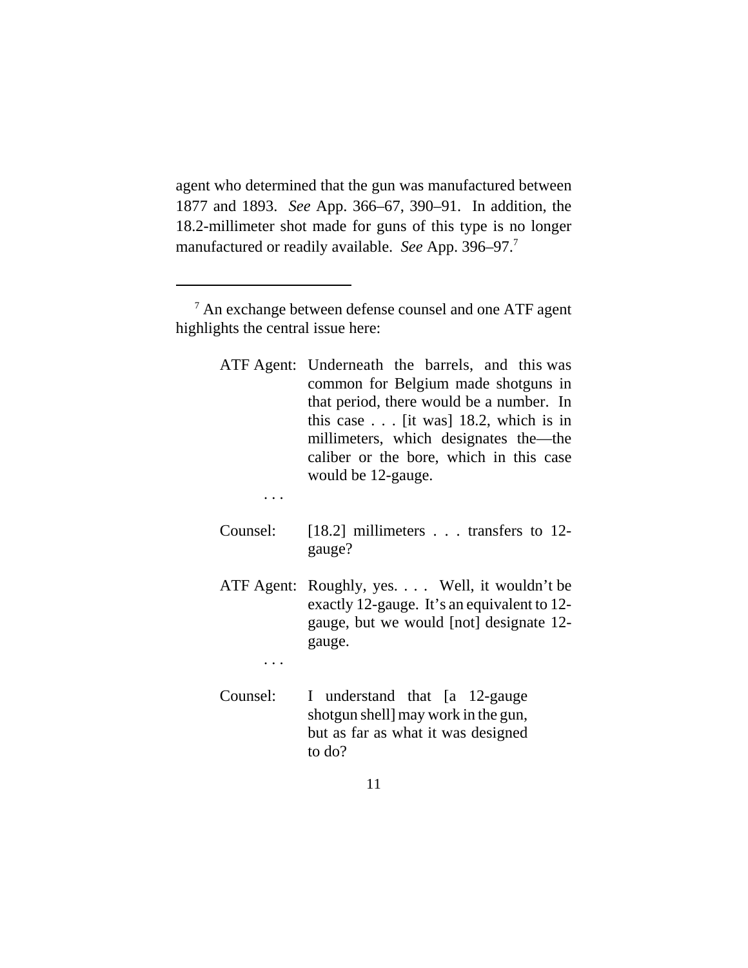agent who determined that the gun was manufactured between 1877 and 1893. *See* App. 366–67, 390–91. In addition, the 18.2-millimeter shot made for guns of this type is no longer manufactured or readily available. *See* App. 396–97.7

ATF Agent: Underneath the barrels, and this was common for Belgium made shotguns in that period, there would be a number. In this case . . . [it was] 18.2, which is in millimeters, which designates the—the caliber or the bore, which in this case would be 12-gauge.

. . .

- Counsel: [18.2] millimeters . . . transfers to 12 gauge?
- ATF Agent: Roughly, yes. . . . Well, it wouldn't be exactly 12-gauge. It's an equivalent to 12 gauge, but we would [not] designate 12 gauge.

. . .

Counsel: I understand that [a 12-gauge shotgun shell] may work in the gun, but as far as what it was designed to do?

<sup>&</sup>lt;sup>7</sup> An exchange between defense counsel and one ATF agent highlights the central issue here: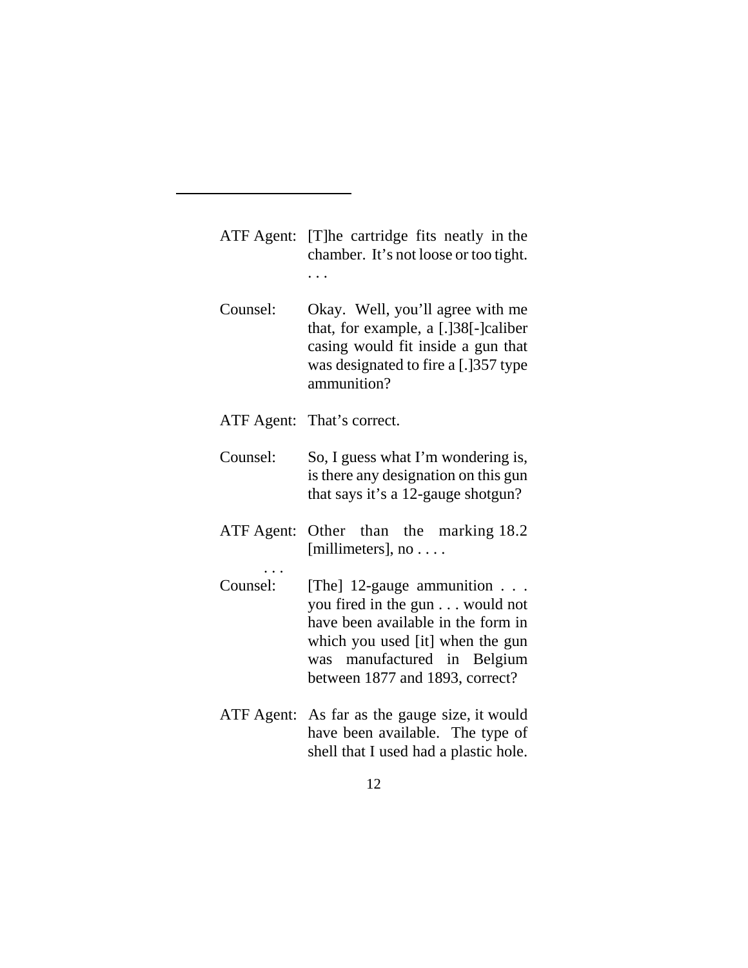| ATF Agent: [T] he cartridge fits neatly in the |
|------------------------------------------------|
| chamber. It's not loose or too tight.          |
| $\cdots$                                       |

- Counsel: Okay. Well, you'll agree with me that, for example, a [.]38[-]caliber casing would fit inside a gun that was designated to fire a [.] 357 type ammunition?
- ATF Agent: That's correct.

. . .

- Counsel: So, I guess what I'm wondering is, is there any designation on this gun that says it's a 12-gauge shotgun?
- ATF Agent: Other than the marking 18.2 [millimeters], no . . . .
- Counsel: [The] 12-gauge ammunition . . . you fired in the gun . . . would not have been available in the form in which you used [it] when the gun was manufactured in Belgium between 1877 and 1893, correct?
- ATF Agent: As far as the gauge size, it would have been available. The type of shell that I used had a plastic hole.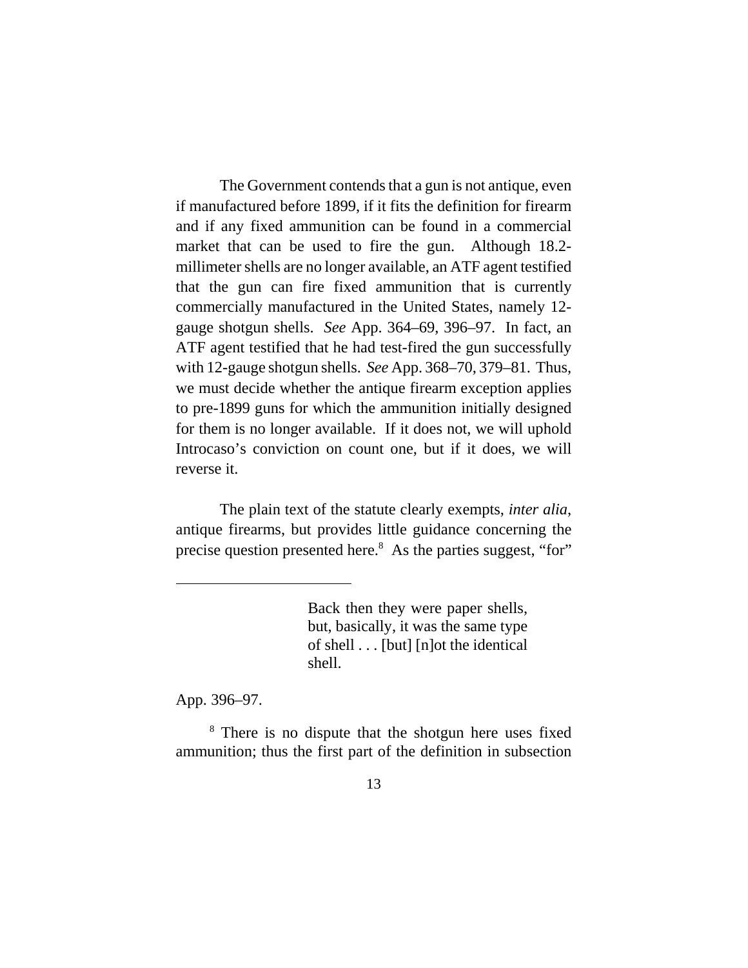The Government contends that a gun is not antique, even if manufactured before 1899, if it fits the definition for firearm and if any fixed ammunition can be found in a commercial market that can be used to fire the gun. Although 18.2 millimeter shells are no longer available, an ATF agent testified that the gun can fire fixed ammunition that is currently commercially manufactured in the United States, namely 12 gauge shotgun shells. *See* App. 364–69, 396–97. In fact, an ATF agent testified that he had test-fired the gun successfully with 12-gauge shotgun shells. *See* App. 368–70, 379–81. Thus, we must decide whether the antique firearm exception applies to pre-1899 guns for which the ammunition initially designed for them is no longer available. If it does not, we will uphold Introcaso's conviction on count one, but if it does, we will reverse it.

The plain text of the statute clearly exempts, *inter alia*, antique firearms, but provides little guidance concerning the precise question presented here.<sup>8</sup> As the parties suggest, "for"

> Back then they were paper shells, but, basically, it was the same type of shell . . . [but] [n]ot the identical shell.

App. 396–97.

<sup>8</sup> There is no dispute that the shotgun here uses fixed ammunition; thus the first part of the definition in subsection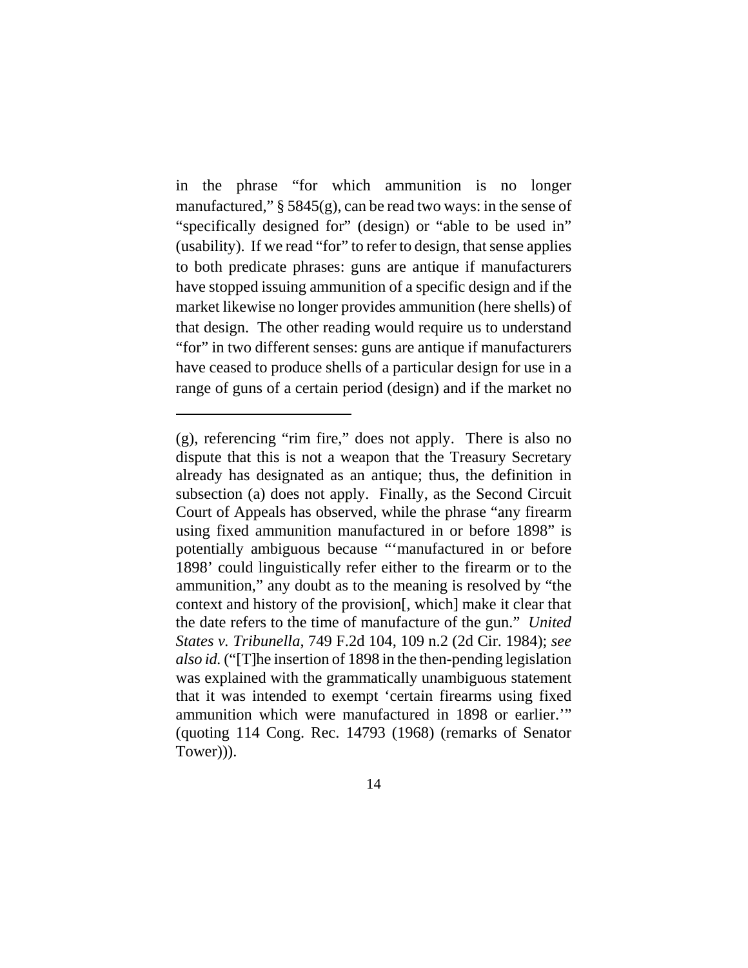in the phrase "for which ammunition is no longer manufactured,"  $\S$  5845(g), can be read two ways: in the sense of "specifically designed for" (design) or "able to be used in" (usability). If we read "for" to refer to design, that sense applies to both predicate phrases: guns are antique if manufacturers have stopped issuing ammunition of a specific design and if the market likewise no longer provides ammunition (here shells) of that design. The other reading would require us to understand "for" in two different senses: guns are antique if manufacturers have ceased to produce shells of a particular design for use in a range of guns of a certain period (design) and if the market no

<sup>(</sup>g), referencing "rim fire," does not apply. There is also no dispute that this is not a weapon that the Treasury Secretary already has designated as an antique; thus, the definition in subsection (a) does not apply. Finally, as the Second Circuit Court of Appeals has observed, while the phrase "any firearm using fixed ammunition manufactured in or before 1898" is potentially ambiguous because "'manufactured in or before 1898' could linguistically refer either to the firearm or to the ammunition," any doubt as to the meaning is resolved by "the context and history of the provision[, which] make it clear that the date refers to the time of manufacture of the gun." *United States v. Tribunella*, 749 F.2d 104, 109 n.2 (2d Cir. 1984); *see also id.* ("[T]he insertion of 1898 in the then-pending legislation was explained with the grammatically unambiguous statement that it was intended to exempt 'certain firearms using fixed ammunition which were manufactured in 1898 or earlier.'" (quoting 114 Cong. Rec. 14793 (1968) (remarks of Senator Tower))).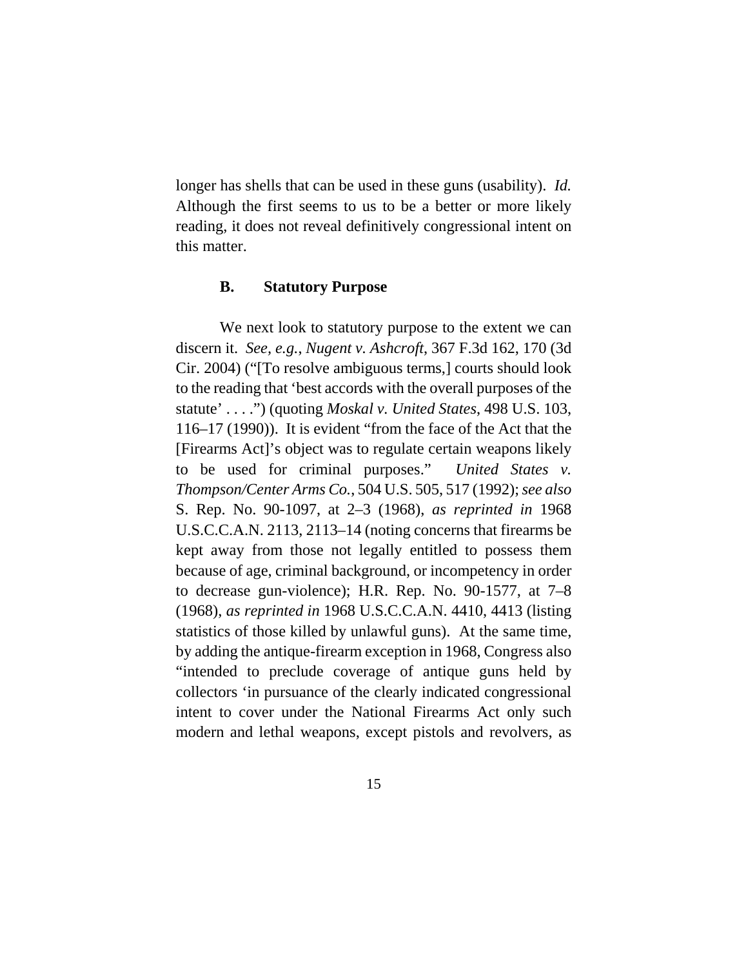longer has shells that can be used in these guns (usability). *Id.* Although the first seems to us to be a better or more likely reading, it does not reveal definitively congressional intent on this matter.

#### **B. Statutory Purpose**

We next look to statutory purpose to the extent we can discern it. *See, e.g.*, *Nugent v. Ashcroft*, 367 F.3d 162, 170 (3d Cir. 2004) ("[To resolve ambiguous terms,] courts should look to the reading that 'best accords with the overall purposes of the statute' . . . .") (quoting *Moskal v. United States*, 498 U.S. 103, 116–17 (1990)). It is evident "from the face of the Act that the [Firearms Act]'s object was to regulate certain weapons likely to be used for criminal purposes." *United States v. Thompson/Center Arms Co.*, 504 U.S. 505, 517 (1992); *see also* S. Rep. No. 90-1097, at 2–3 (1968), *as reprinted in* 1968 U.S.C.C.A.N. 2113, 2113–14 (noting concerns that firearms be kept away from those not legally entitled to possess them because of age, criminal background, or incompetency in order to decrease gun-violence); H.R. Rep. No. 90-1577, at 7–8 (1968), *as reprinted in* 1968 U.S.C.C.A.N. 4410, 4413 (listing statistics of those killed by unlawful guns). At the same time, by adding the antique-firearm exception in 1968, Congress also "intended to preclude coverage of antique guns held by collectors 'in pursuance of the clearly indicated congressional intent to cover under the National Firearms Act only such modern and lethal weapons, except pistols and revolvers, as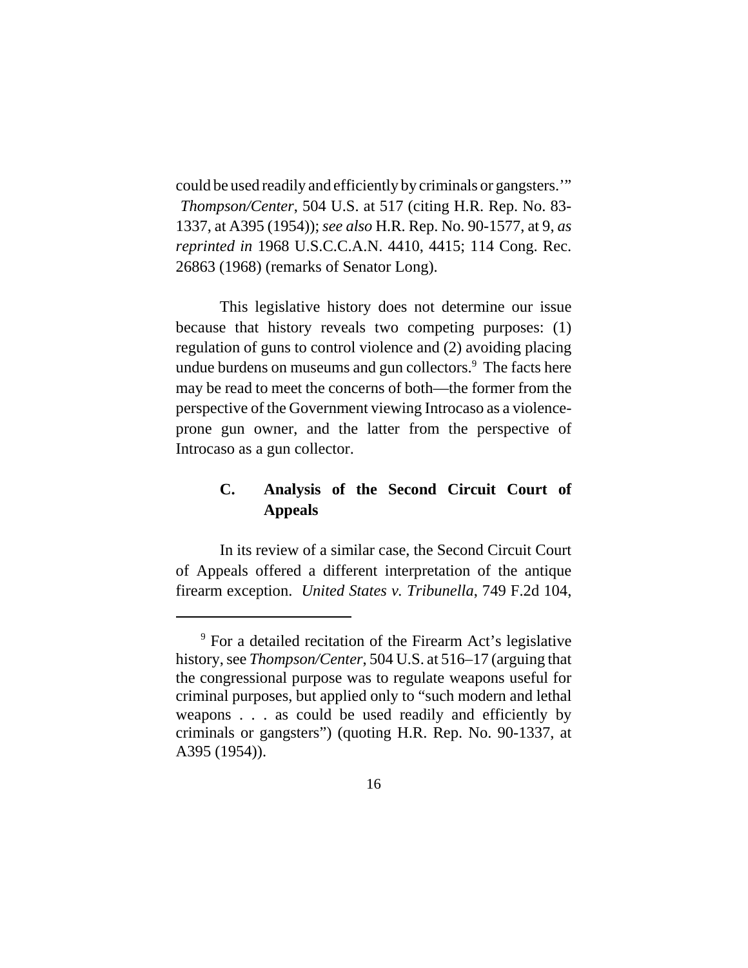could be used readily and efficiently by criminals or gangsters.'"  *Thompson/Center*, 504 U.S. at 517 (citing H.R. Rep. No. 83- 1337, at A395 (1954)); *see also* H.R. Rep. No. 90-1577, at 9, *as reprinted in* 1968 U.S.C.C.A.N. 4410, 4415; 114 Cong. Rec. 26863 (1968) (remarks of Senator Long).

This legislative history does not determine our issue because that history reveals two competing purposes: (1) regulation of guns to control violence and (2) avoiding placing undue burdens on museums and gun collectors.<sup>9</sup> The facts here may be read to meet the concerns of both—the former from the perspective of the Government viewing Introcaso as a violenceprone gun owner, and the latter from the perspective of Introcaso as a gun collector.

# **C. Analysis of the Second Circuit Court of Appeals**

In its review of a similar case, the Second Circuit Court of Appeals offered a different interpretation of the antique firearm exception. *United States v. Tribunella*, 749 F.2d 104,

<sup>&</sup>lt;sup>9</sup> For a detailed recitation of the Firearm Act's legislative history, see *Thompson/Center*, 504 U.S. at 516–17 (arguing that the congressional purpose was to regulate weapons useful for criminal purposes, but applied only to "such modern and lethal weapons . . . as could be used readily and efficiently by criminals or gangsters") (quoting H.R. Rep. No. 90-1337, at A395 (1954)).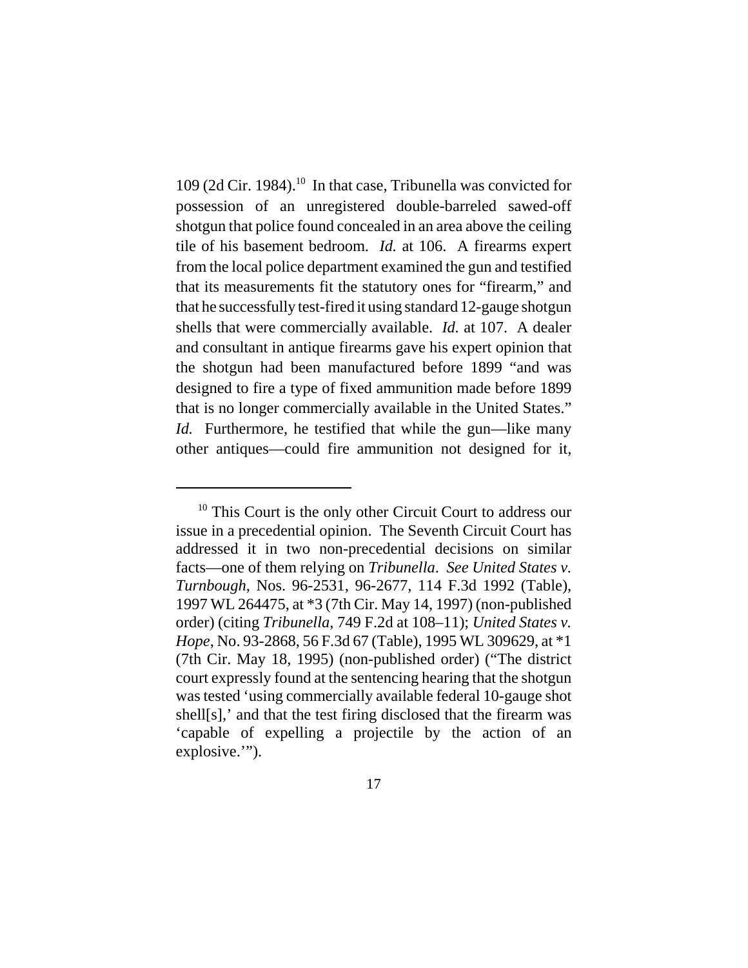109 (2d Cir. 1984).<sup>10</sup> In that case, Tribunella was convicted for possession of an unregistered double-barreled sawed-off shotgun that police found concealed in an area above the ceiling tile of his basement bedroom. *Id.* at 106. A firearms expert from the local police department examined the gun and testified that its measurements fit the statutory ones for "firearm," and that he successfully test-fired it using standard 12-gauge shotgun shells that were commercially available. *Id.* at 107. A dealer and consultant in antique firearms gave his expert opinion that the shotgun had been manufactured before 1899 "and was designed to fire a type of fixed ammunition made before 1899 that is no longer commercially available in the United States." *Id.* Furthermore, he testified that while the gun—like many other antiques—could fire ammunition not designed for it,

 $10$  This Court is the only other Circuit Court to address our issue in a precedential opinion. The Seventh Circuit Court has addressed it in two non-precedential decisions on similar facts—one of them relying on *Tribunella*. *See United States v. Turnbough*, Nos. 96-2531, 96-2677, 114 F.3d 1992 (Table), 1997 WL 264475, at \*3 (7th Cir. May 14, 1997) (non-published order) (citing *Tribunella*, 749 F.2d at 108–11); *United States v. Hope*, No. 93-2868, 56 F.3d 67 (Table), 1995 WL 309629, at \*1 (7th Cir. May 18, 1995) (non-published order) ("The district court expressly found at the sentencing hearing that the shotgun was tested 'using commercially available federal 10-gauge shot shell[s],' and that the test firing disclosed that the firearm was 'capable of expelling a projectile by the action of an explosive."").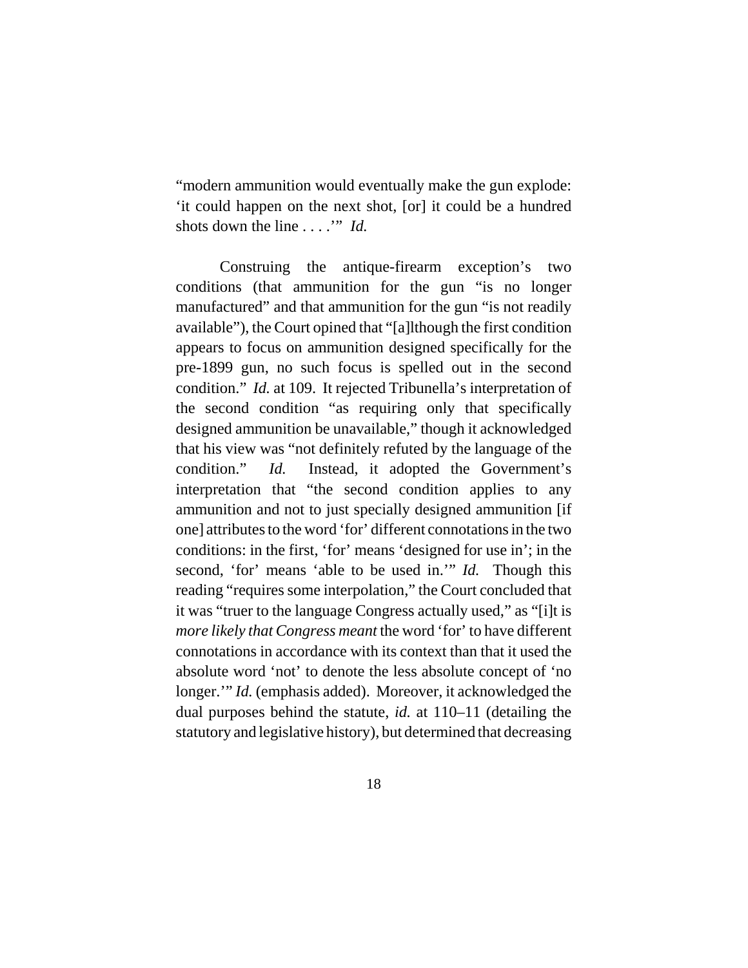"modern ammunition would eventually make the gun explode: 'it could happen on the next shot, [or] it could be a hundred shots down the line . . . .'" *Id.*

Construing the antique-firearm exception's two conditions (that ammunition for the gun "is no longer manufactured" and that ammunition for the gun "is not readily available"), the Court opined that "[a]lthough the first condition appears to focus on ammunition designed specifically for the pre-1899 gun, no such focus is spelled out in the second condition." *Id.* at 109. It rejected Tribunella's interpretation of the second condition "as requiring only that specifically designed ammunition be unavailable," though it acknowledged that his view was "not definitely refuted by the language of the condition." *Id.* Instead, it adopted the Government's interpretation that "the second condition applies to any ammunition and not to just specially designed ammunition [if one] attributes to the word 'for' different connotations in the two conditions: in the first, 'for' means 'designed for use in'; in the second, 'for' means 'able to be used in.'" *Id.* Though this reading "requires some interpolation," the Court concluded that it was "truer to the language Congress actually used," as "[i]t is *more likely that Congress meant* the word 'for' to have different connotations in accordance with its context than that it used the absolute word 'not' to denote the less absolute concept of 'no longer." *Id.* (emphasis added). Moreover, it acknowledged the dual purposes behind the statute, *id.* at 110–11 (detailing the statutory and legislative history), but determined that decreasing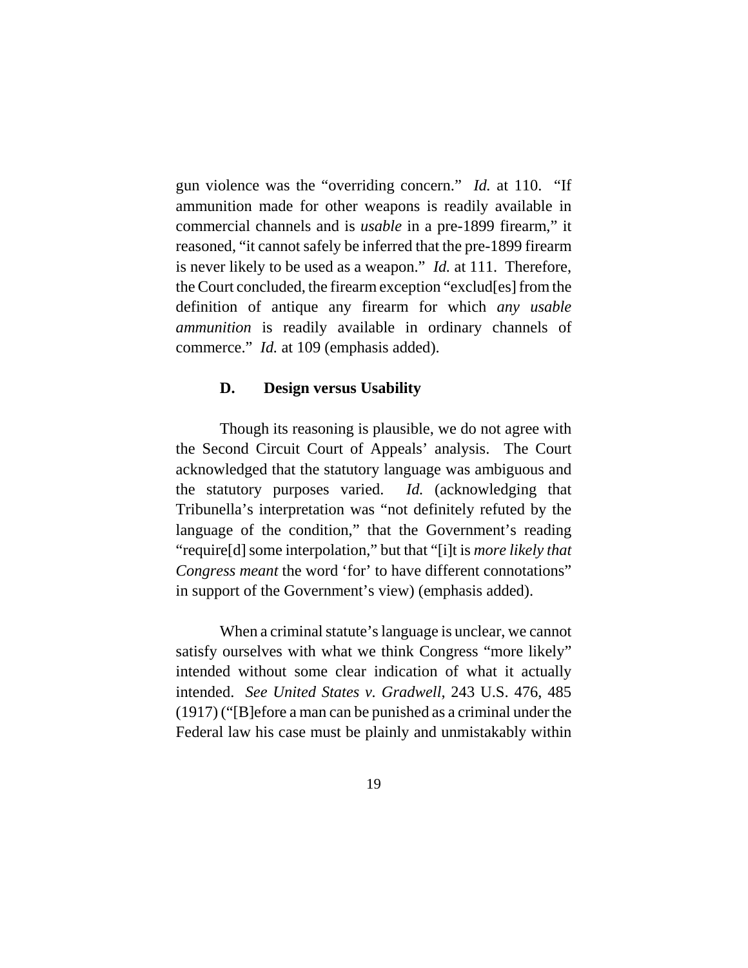gun violence was the "overriding concern." *Id.* at 110. "If ammunition made for other weapons is readily available in commercial channels and is *usable* in a pre-1899 firearm," it reasoned, "it cannot safely be inferred that the pre-1899 firearm is never likely to be used as a weapon." *Id.* at 111. Therefore, the Court concluded, the firearm exception "exclud[es] from the definition of antique any firearm for which *any usable ammunition* is readily available in ordinary channels of commerce." *Id.* at 109 (emphasis added).

#### **D. Design versus Usability**

Though its reasoning is plausible, we do not agree with the Second Circuit Court of Appeals' analysis. The Court acknowledged that the statutory language was ambiguous and the statutory purposes varied. *Id.* (acknowledging that Tribunella's interpretation was "not definitely refuted by the language of the condition," that the Government's reading "require[d] some interpolation," but that "[i]t is *more likely that Congress meant* the word 'for' to have different connotations" in support of the Government's view) (emphasis added).

When a criminal statute's language is unclear, we cannot satisfy ourselves with what we think Congress "more likely" intended without some clear indication of what it actually intended. *See United States v. Gradwell*, 243 U.S. 476, 485 (1917) ("[B]efore a man can be punished as a criminal under the Federal law his case must be plainly and unmistakably within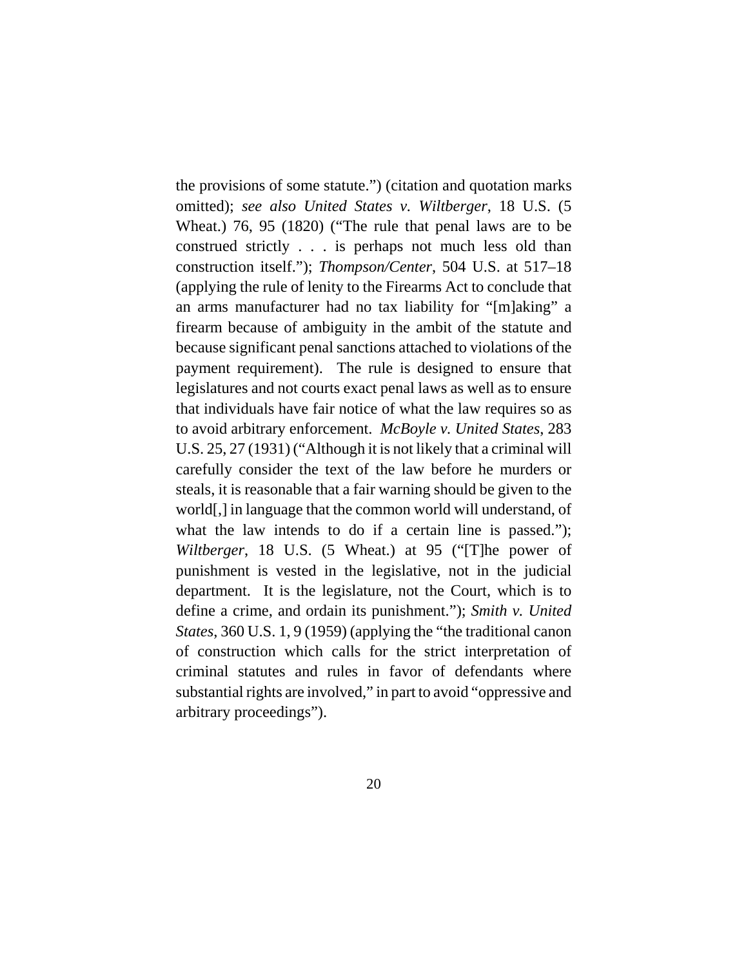the provisions of some statute.") (citation and quotation marks omitted); *see also United States v. Wiltberger*, 18 U.S. (5 Wheat.) 76, 95 (1820) ("The rule that penal laws are to be construed strictly . . . is perhaps not much less old than construction itself."); *Thompson/Center*, 504 U.S. at 517–18 (applying the rule of lenity to the Firearms Act to conclude that an arms manufacturer had no tax liability for "[m]aking" a firearm because of ambiguity in the ambit of the statute and because significant penal sanctions attached to violations of the payment requirement).The rule is designed to ensure that legislatures and not courts exact penal laws as well as to ensure that individuals have fair notice of what the law requires so as to avoid arbitrary enforcement. *McBoyle v. United States*, 283 U.S. 25, 27 (1931) ("Although it is not likely that a criminal will carefully consider the text of the law before he murders or steals, it is reasonable that a fair warning should be given to the world[,] in language that the common world will understand, of what the law intends to do if a certain line is passed."); *Wiltberger*, 18 U.S. (5 Wheat.) at 95 ("[T]he power of punishment is vested in the legislative, not in the judicial department. It is the legislature, not the Court, which is to define a crime, and ordain its punishment."); *Smith v. United States*, 360 U.S. 1, 9 (1959) (applying the "the traditional canon of construction which calls for the strict interpretation of criminal statutes and rules in favor of defendants where substantial rights are involved," in part to avoid "oppressive and arbitrary proceedings").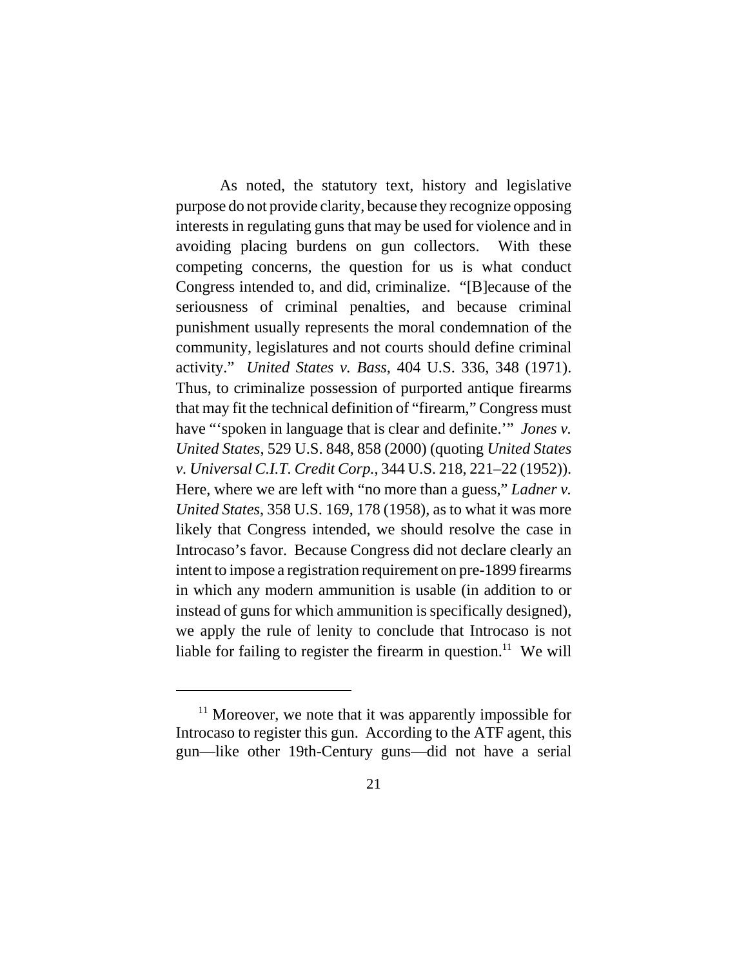As noted, the statutory text, history and legislative purpose do not provide clarity, because they recognize opposing interests in regulating guns that may be used for violence and in avoiding placing burdens on gun collectors. With these competing concerns, the question for us is what conduct Congress intended to, and did, criminalize. "[B]ecause of the seriousness of criminal penalties, and because criminal punishment usually represents the moral condemnation of the community, legislatures and not courts should define criminal activity." *United States v. Bass*, 404 U.S. 336, 348 (1971). Thus, to criminalize possession of purported antique firearms that may fit the technical definition of "firearm," Congress must have "'spoken in language that is clear and definite.'" *Jones v. United States*, 529 U.S. 848, 858 (2000) (quoting *United States v. Universal C.I.T. Credit Corp.*, 344 U.S. 218, 221–22 (1952)). Here, where we are left with "no more than a guess," *Ladner v. United States*, 358 U.S. 169, 178 (1958), as to what it was more likely that Congress intended, we should resolve the case in Introcaso's favor. Because Congress did not declare clearly an intent to impose a registration requirement on pre-1899 firearms in which any modern ammunition is usable (in addition to or instead of guns for which ammunition is specifically designed), we apply the rule of lenity to conclude that Introcaso is not liable for failing to register the firearm in question.<sup>11</sup> We will

 $11$  Moreover, we note that it was apparently impossible for Introcaso to register this gun. According to the ATF agent, this gun—like other 19th-Century guns—did not have a serial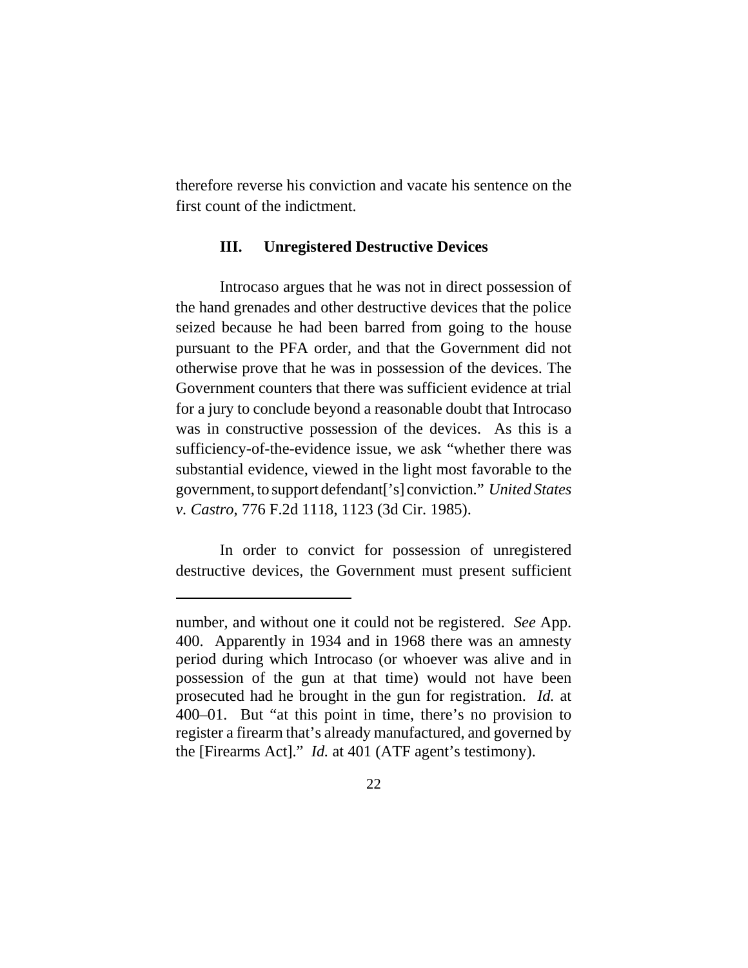therefore reverse his conviction and vacate his sentence on the first count of the indictment.

## **III. Unregistered Destructive Devices**

Introcaso argues that he was not in direct possession of the hand grenades and other destructive devices that the police seized because he had been barred from going to the house pursuant to the PFA order, and that the Government did not otherwise prove that he was in possession of the devices. The Government counters that there was sufficient evidence at trial for a jury to conclude beyond a reasonable doubt that Introcaso was in constructive possession of the devices. As this is a sufficiency-of-the-evidence issue, we ask "whether there was substantial evidence, viewed in the light most favorable to the government, to support defendant['s] conviction." *United States v. Castro*, 776 F.2d 1118, 1123 (3d Cir. 1985).

In order to convict for possession of unregistered destructive devices, the Government must present sufficient

number, and without one it could not be registered. *See* App. 400. Apparently in 1934 and in 1968 there was an amnesty period during which Introcaso (or whoever was alive and in possession of the gun at that time) would not have been prosecuted had he brought in the gun for registration. *Id.* at 400–01. But "at this point in time, there's no provision to register a firearm that's already manufactured, and governed by the [Firearms Act]." *Id.* at 401 (ATF agent's testimony).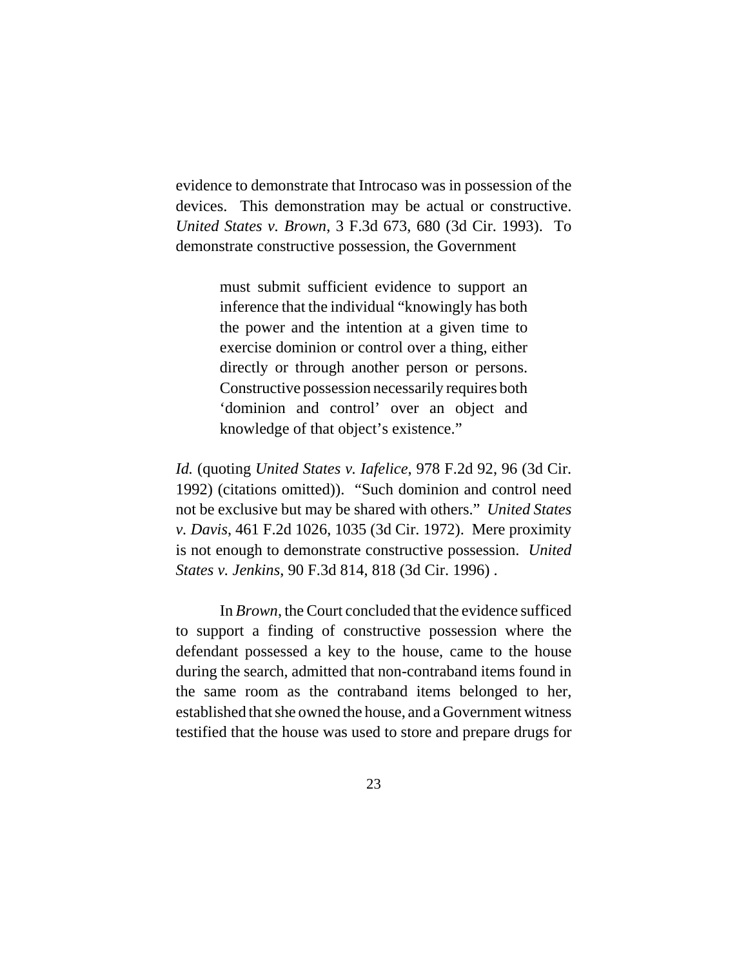evidence to demonstrate that Introcaso was in possession of the devices. This demonstration may be actual or constructive. *United States v. Brown*, 3 F.3d 673, 680 (3d Cir. 1993). To demonstrate constructive possession, the Government

> must submit sufficient evidence to support an inference that the individual "knowingly has both the power and the intention at a given time to exercise dominion or control over a thing, either directly or through another person or persons. Constructive possession necessarily requires both 'dominion and control' over an object and knowledge of that object's existence."

*Id.* (quoting *United States v. Iafelice*, 978 F.2d 92, 96 (3d Cir. 1992) (citations omitted)). "Such dominion and control need not be exclusive but may be shared with others." *United States v. Davis*, 461 F.2d 1026, 1035 (3d Cir. 1972). Mere proximity is not enough to demonstrate constructive possession. *United States v. Jenkins*, 90 F.3d 814, 818 (3d Cir. 1996) .

In *Brown*, the Court concluded that the evidence sufficed to support a finding of constructive possession where the defendant possessed a key to the house, came to the house during the search, admitted that non-contraband items found in the same room as the contraband items belonged to her, established that she owned the house, and a Government witness testified that the house was used to store and prepare drugs for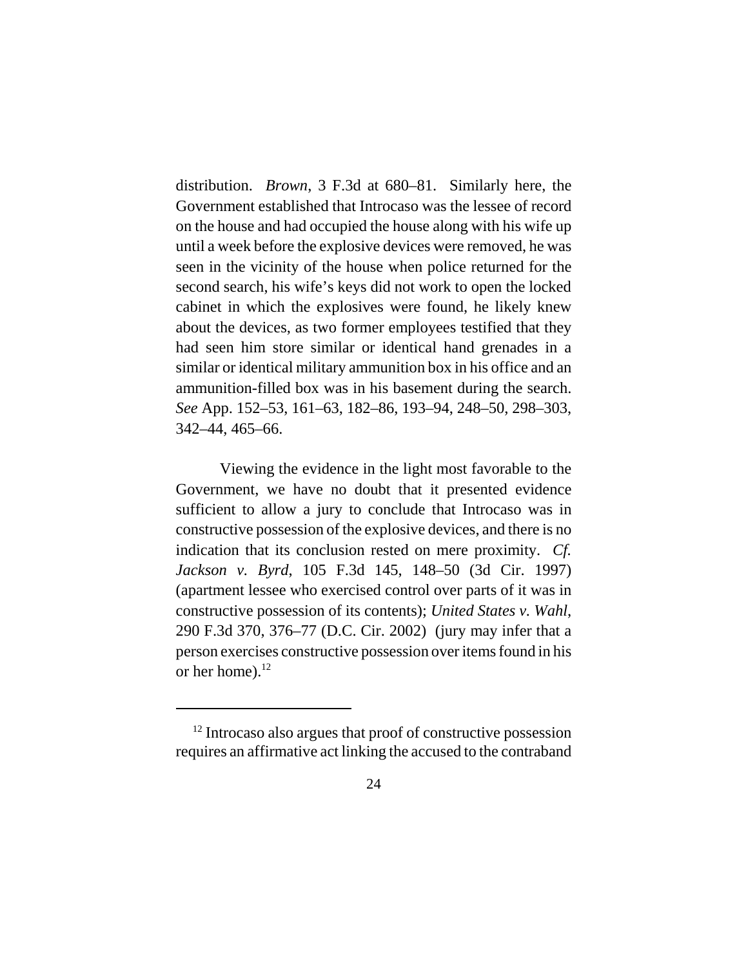distribution. *Brown*, 3 F.3d at 680–81. Similarly here, the Government established that Introcaso was the lessee of record on the house and had occupied the house along with his wife up until a week before the explosive devices were removed, he was seen in the vicinity of the house when police returned for the second search, his wife's keys did not work to open the locked cabinet in which the explosives were found, he likely knew about the devices, as two former employees testified that they had seen him store similar or identical hand grenades in a similar or identical military ammunition box in his office and an ammunition-filled box was in his basement during the search. *See* App. 152–53, 161–63, 182–86, 193–94, 248–50, 298–303, 342–44, 465–66.

Viewing the evidence in the light most favorable to the Government, we have no doubt that it presented evidence sufficient to allow a jury to conclude that Introcaso was in constructive possession of the explosive devices, and there is no indication that its conclusion rested on mere proximity. *Cf. Jackson v. Byrd*, 105 F.3d 145, 148–50 (3d Cir. 1997) (apartment lessee who exercised control over parts of it was in constructive possession of its contents); *United States v. Wahl*, 290 F.3d 370, 376–77 (D.C. Cir. 2002) (jury may infer that a person exercises constructive possession over items found in his or her home). $^{12}$ 

 $12$  Introcaso also argues that proof of constructive possession requires an affirmative act linking the accused to the contraband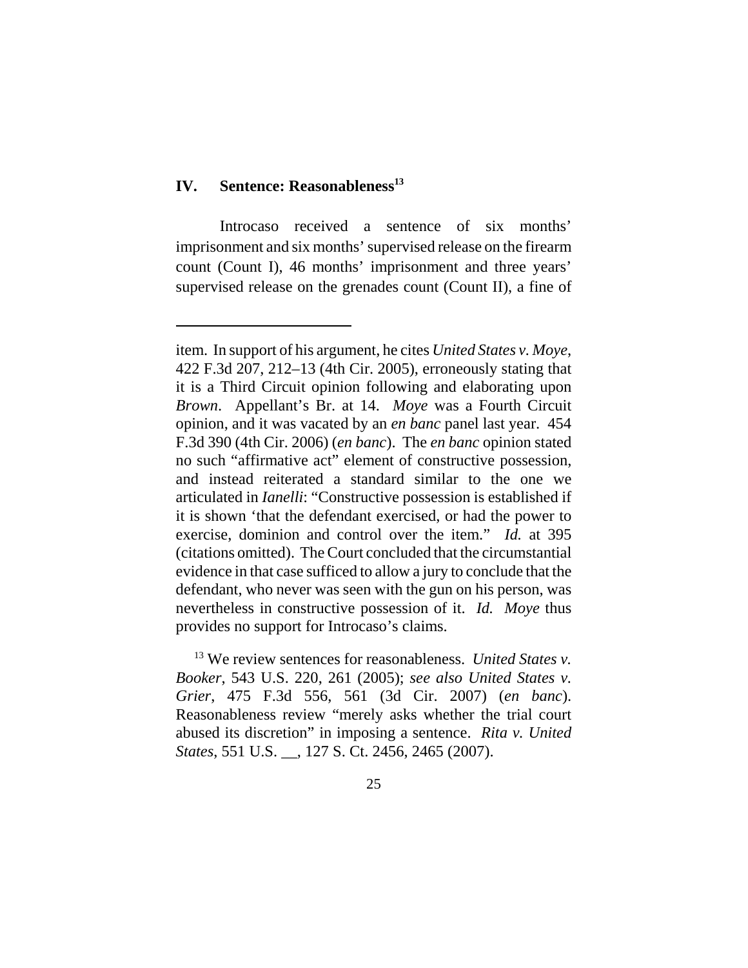## **IV.** Sentence: Reasonableness<sup>13</sup>

Introcaso received a sentence of six months' imprisonment and six months' supervised release on the firearm count (Count I), 46 months' imprisonment and three years' supervised release on the grenades count (Count II), a fine of

 13 We review sentences for reasonableness. *United States v. Booker*, 543 U.S. 220, 261 (2005); *see also United States v. Grier*, 475 F.3d 556, 561 (3d Cir. 2007) (*en banc*). Reasonableness review "merely asks whether the trial court abused its discretion" in imposing a sentence. *Rita v. United States*, 551 U.S. \_\_, 127 S. Ct. 2456, 2465 (2007).

item. In support of his argument, he cites *United States v. Moye*, 422 F.3d 207, 212–13 (4th Cir. 2005), erroneously stating that it is a Third Circuit opinion following and elaborating upon *Brown*. Appellant's Br. at 14. *Moye* was a Fourth Circuit opinion, and it was vacated by an *en banc* panel last year. 454 F.3d 390 (4th Cir. 2006) (*en banc*). The *en banc* opinion stated no such "affirmative act" element of constructive possession, and instead reiterated a standard similar to the one we articulated in *Ianelli*: "Constructive possession is established if it is shown 'that the defendant exercised, or had the power to exercise, dominion and control over the item." *Id.* at 395 (citations omitted). The Court concluded that the circumstantial evidence in that case sufficed to allow a jury to conclude that the defendant, who never was seen with the gun on his person, was nevertheless in constructive possession of it. *Id. Moye* thus provides no support for Introcaso's claims.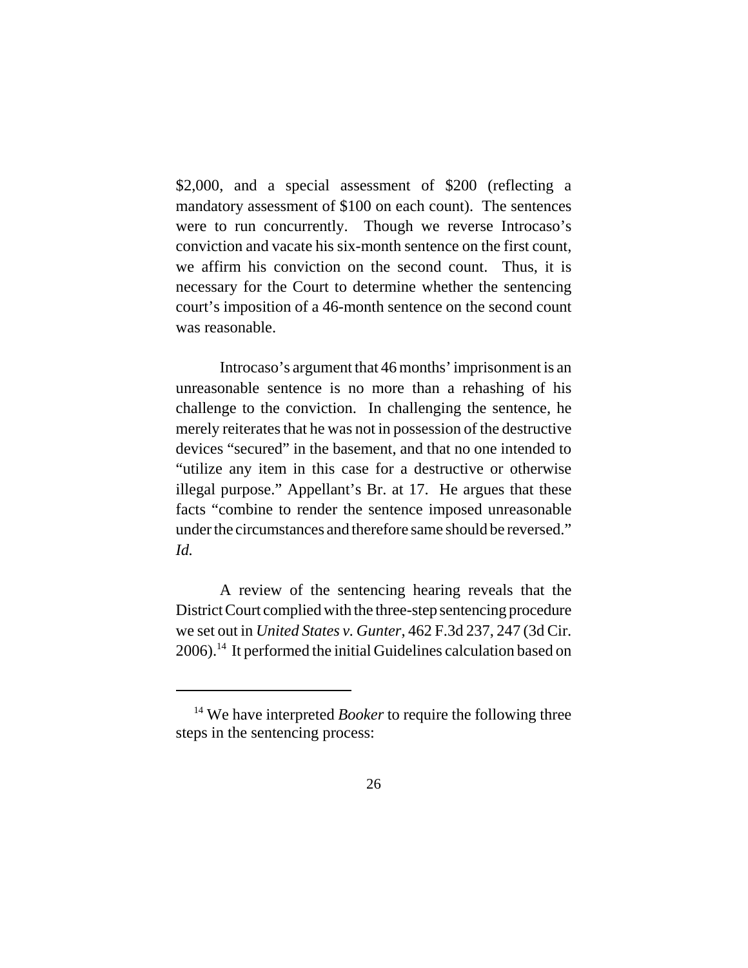\$2,000, and a special assessment of \$200 (reflecting a mandatory assessment of \$100 on each count). The sentences were to run concurrently. Though we reverse Introcaso's conviction and vacate his six-month sentence on the first count, we affirm his conviction on the second count. Thus, it is necessary for the Court to determine whether the sentencing court's imposition of a 46-month sentence on the second count was reasonable.

Introcaso's argument that 46 months' imprisonment is an unreasonable sentence is no more than a rehashing of his challenge to the conviction. In challenging the sentence, he merely reiterates that he was not in possession of the destructive devices "secured" in the basement, and that no one intended to "utilize any item in this case for a destructive or otherwise illegal purpose." Appellant's Br. at 17. He argues that these facts "combine to render the sentence imposed unreasonable under the circumstances and therefore same should be reversed." *Id.* 

A review of the sentencing hearing reveals that the District Court complied with the three-step sentencing procedure we set out in *United States v. Gunter*, 462 F.3d 237, 247 (3d Cir. 2006).14 It performed the initial Guidelines calculation based on

<sup>&</sup>lt;sup>14</sup> We have interpreted *Booker* to require the following three steps in the sentencing process: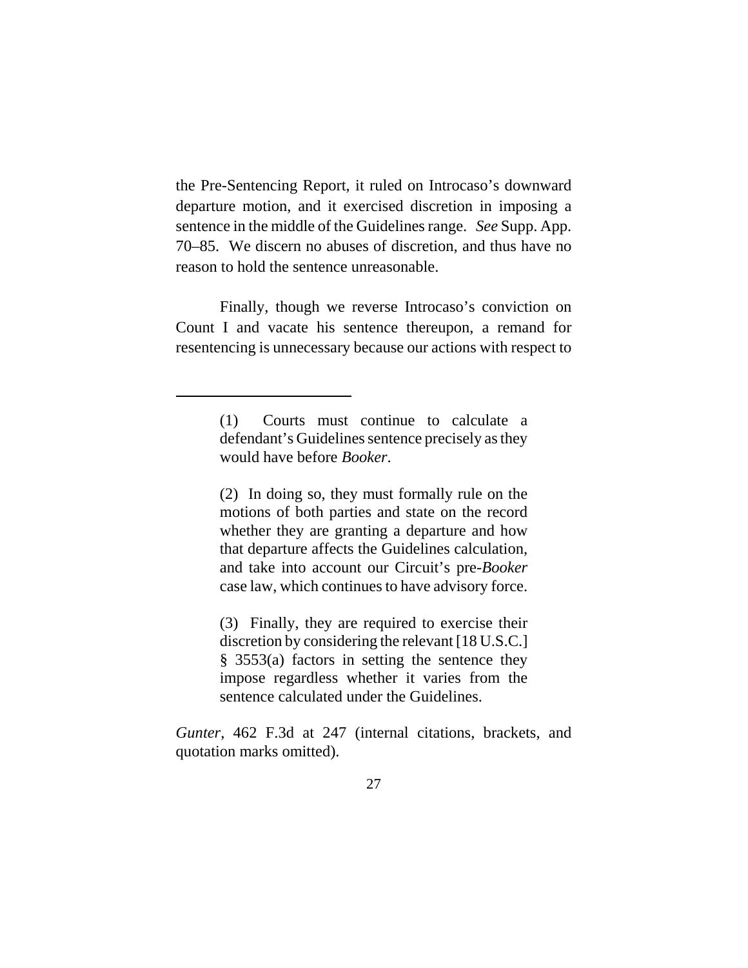the Pre-Sentencing Report, it ruled on Introcaso's downward departure motion, and it exercised discretion in imposing a sentence in the middle of the Guidelines range. *See* Supp. App. 70–85. We discern no abuses of discretion, and thus have no reason to hold the sentence unreasonable.

Finally, though we reverse Introcaso's conviction on Count I and vacate his sentence thereupon, a remand for resentencing is unnecessary because our actions with respect to

(2) In doing so, they must formally rule on the motions of both parties and state on the record whether they are granting a departure and how that departure affects the Guidelines calculation, and take into account our Circuit's pre-*Booker* case law, which continues to have advisory force.

(3) Finally, they are required to exercise their discretion by considering the relevant [18 U.S.C.] § 3553(a) factors in setting the sentence they impose regardless whether it varies from the sentence calculated under the Guidelines.

*Gunter*, 462 F.3d at 247 (internal citations, brackets, and quotation marks omitted).

<sup>(1)</sup> Courts must continue to calculate a defendant's Guidelines sentence precisely as they would have before *Booker*.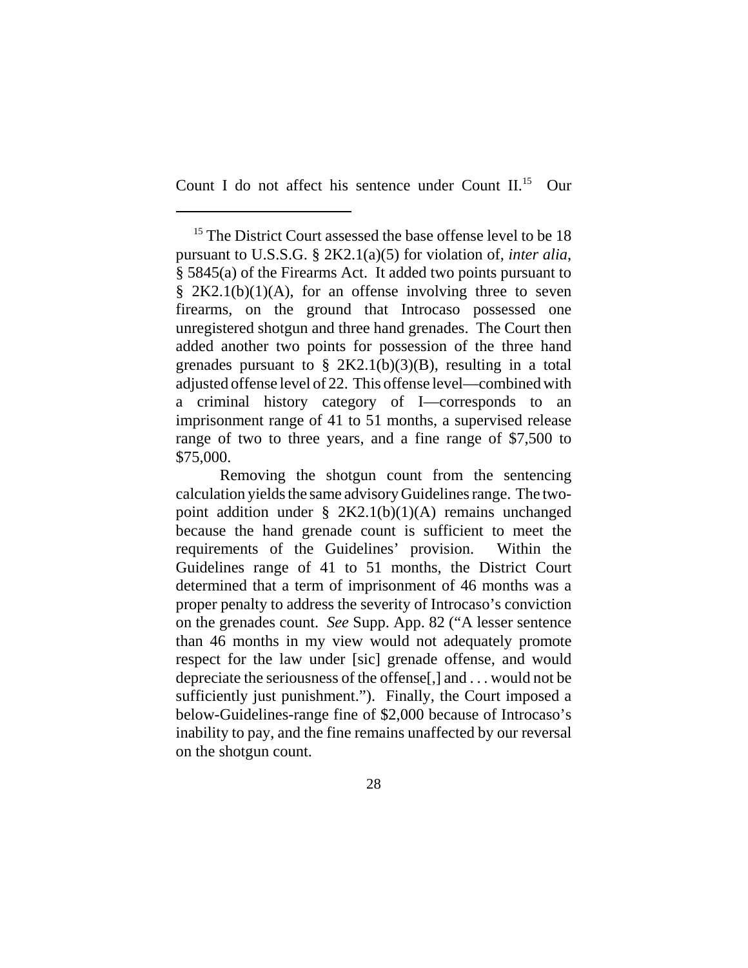Count I do not affect his sentence under Count II.15 Our

<sup>&</sup>lt;sup>15</sup> The District Court assessed the base offense level to be 18 pursuant to U.S.S.G. § 2K2.1(a)(5) for violation of, *inter alia*, § 5845(a) of the Firearms Act. It added two points pursuant to §  $2K2.1(b)(1)(A)$ , for an offense involving three to seven firearms, on the ground that Introcaso possessed one unregistered shotgun and three hand grenades. The Court then added another two points for possession of the three hand grenades pursuant to  $\S 2K2.1(b)(3)(B)$ , resulting in a total adjusted offense level of 22. This offense level—combined with a criminal history category of I—corresponds to an imprisonment range of 41 to 51 months, a supervised release range of two to three years, and a fine range of \$7,500 to \$75,000.

Removing the shotgun count from the sentencing calculation yields the same advisory Guidelines range. The twopoint addition under § 2K2.1(b)(1)(A) remains unchanged because the hand grenade count is sufficient to meet the requirements of the Guidelines' provision. Within the Guidelines range of 41 to 51 months, the District Court determined that a term of imprisonment of 46 months was a proper penalty to address the severity of Introcaso's conviction on the grenades count. *See* Supp. App. 82 ("A lesser sentence than 46 months in my view would not adequately promote respect for the law under [sic] grenade offense, and would depreciate the seriousness of the offense[,] and . . . would not be sufficiently just punishment."). Finally, the Court imposed a below-Guidelines-range fine of \$2,000 because of Introcaso's inability to pay, and the fine remains unaffected by our reversal on the shotgun count.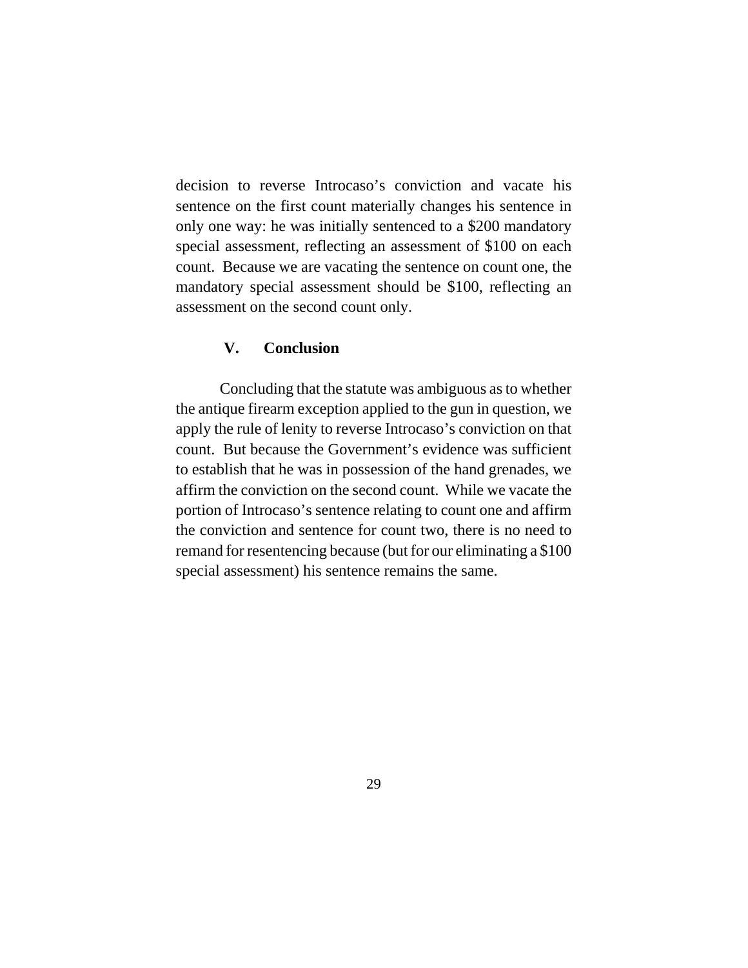decision to reverse Introcaso's conviction and vacate his sentence on the first count materially changes his sentence in only one way: he was initially sentenced to a \$200 mandatory special assessment, reflecting an assessment of \$100 on each count. Because we are vacating the sentence on count one, the mandatory special assessment should be \$100, reflecting an assessment on the second count only.

# **V. Conclusion**

Concluding that the statute was ambiguous as to whether the antique firearm exception applied to the gun in question, we apply the rule of lenity to reverse Introcaso's conviction on that count. But because the Government's evidence was sufficient to establish that he was in possession of the hand grenades, we affirm the conviction on the second count. While we vacate the portion of Introcaso's sentence relating to count one and affirm the conviction and sentence for count two, there is no need to remand for resentencing because (but for our eliminating a \$100 special assessment) his sentence remains the same.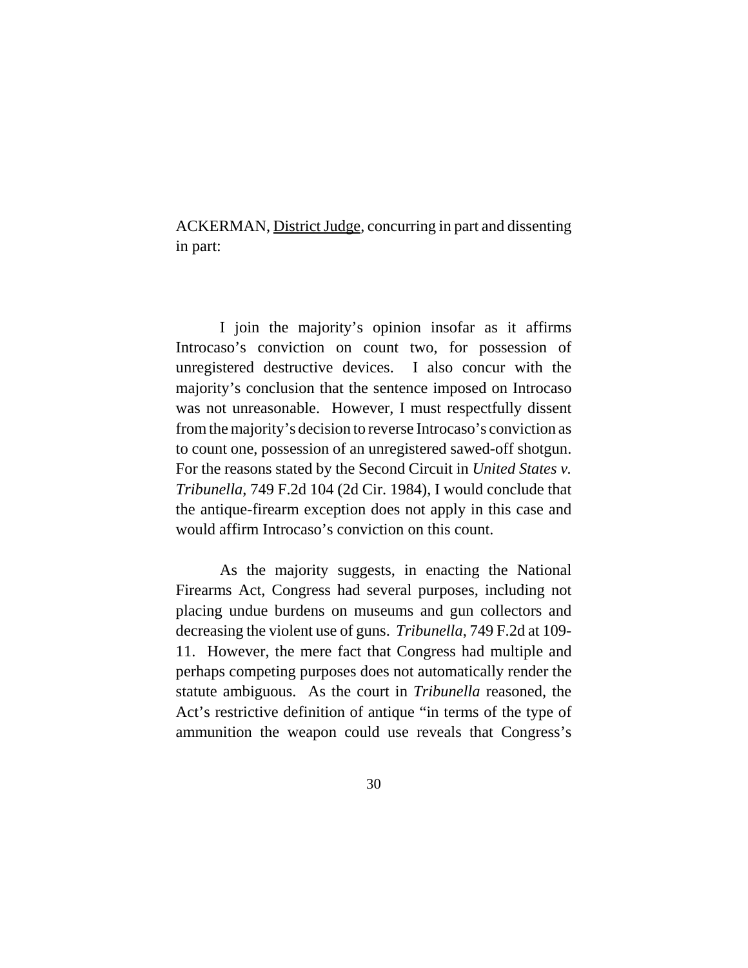ACKERMAN, District Judge, concurring in part and dissenting in part:

I join the majority's opinion insofar as it affirms Introcaso's conviction on count two, for possession of unregistered destructive devices. I also concur with the majority's conclusion that the sentence imposed on Introcaso was not unreasonable. However, I must respectfully dissent from the majority's decision to reverse Introcaso's conviction as to count one, possession of an unregistered sawed-off shotgun. For the reasons stated by the Second Circuit in *United States v. Tribunella*, 749 F.2d 104 (2d Cir. 1984), I would conclude that the antique-firearm exception does not apply in this case and would affirm Introcaso's conviction on this count.

As the majority suggests, in enacting the National Firearms Act, Congress had several purposes, including not placing undue burdens on museums and gun collectors and decreasing the violent use of guns. *Tribunella*, 749 F.2d at 109- 11. However, the mere fact that Congress had multiple and perhaps competing purposes does not automatically render the statute ambiguous. As the court in *Tribunella* reasoned, the Act's restrictive definition of antique "in terms of the type of ammunition the weapon could use reveals that Congress's